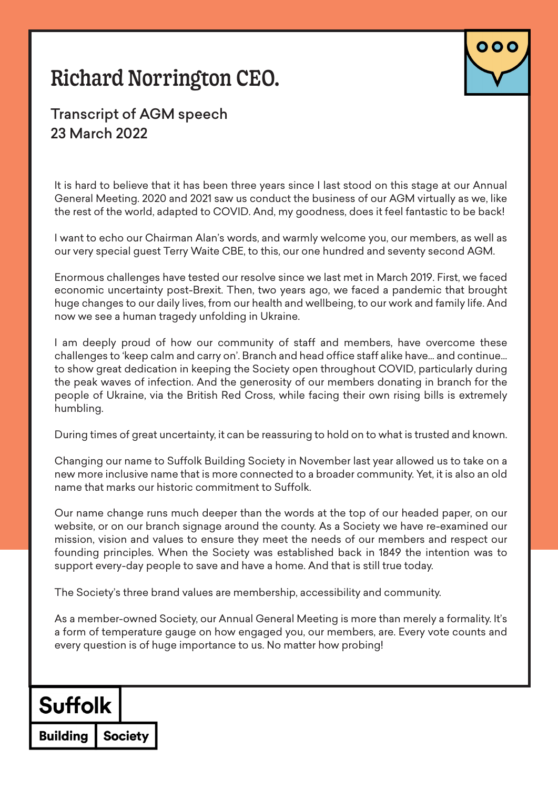# Richard Norrington CEO.



#### Transcript of AGM speech 23 March 2022

It is hard to believe that it has been three years since I last stood on this stage at our Annual General Meeting. 2020 and 2021 saw us conduct the business of our AGM virtually as we, like the rest of the world, adapted to COVID. And, my goodness, does it feel fantastic to be back!

I want to echo our Chairman Alan's words, and warmly welcome you, our members, as well as our very special guest Terry Waite CBE, to this, our one hundred and seventy second AGM.

Enormous challenges have tested our resolve since we last met in March 2019. First, we faced economic uncertainty post-Brexit. Then, two years ago, we faced a pandemic that brought huge changes to our daily lives, from our health and wellbeing, to our work and family life. And now we see a human tragedy unfolding in Ukraine.

I am deeply proud of how our community of staff and members, have overcome these challenges to 'keep calm and carry on'. Branch and head office staff alike have… and continue… to show great dedication in keeping the Society open throughout COVID, particularly during the peak waves of infection. And the generosity of our members donating in branch for the people of Ukraine, via the British Red Cross, while facing their own rising bills is extremely humbling.

During times of great uncertainty, it can be reassuring to hold on to what is trusted and known.

Changing our name to Suffolk Building Society in November last year allowed us to take on a new more inclusive name that is more connected to a broader community. Yet, it is also an old name that marks our historic commitment to Suffolk.

Our name change runs much deeper than the words at the top of our headed paper, on our website, or on our branch signage around the county. As a Society we have re-examined our mission, vision and values to ensure they meet the needs of our members and respect our founding principles. When the Society was established back in 1849 the intention was to support every-day people to save and have a home. And that is still true today.

The Society's three brand values are membership, accessibility and community.

As a member-owned Society, our Annual General Meeting is more than merely a formality. It's a form of temperature gauge on how engaged you, our members, are. Every vote counts and every question is of huge importance to us. No matter how probing!

### **Suffolk**

**Society Building**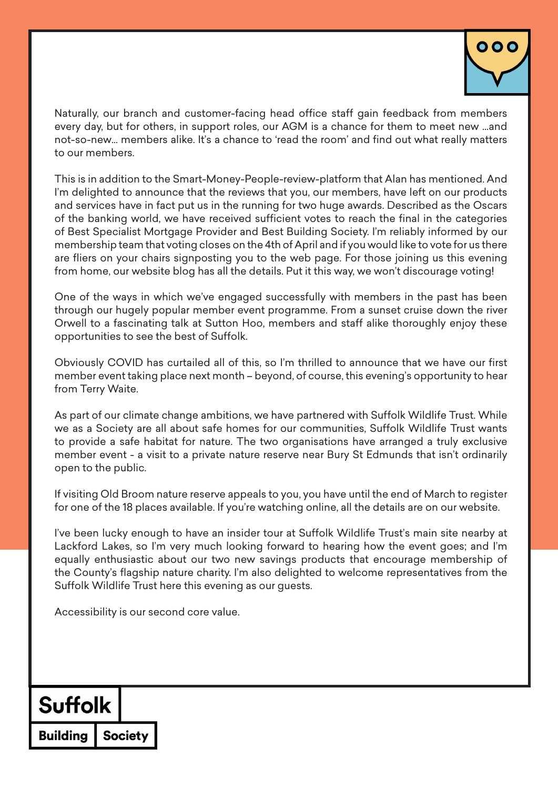

Naturally, our branch and customer-facing head office staff gain feedback from members every day, but for others, in support roles, our AGM is a chance for them to meet new …and not-so-new… members alike. It's a chance to 'read the room' and find out what really matters to our members.

This is in addition to the Smart-Money-People-review-platform that Alan has mentioned. And I'm delighted to announce that the reviews that you, our members, have left on our products and services have in fact put us in the running for two huge awards. Described as the Oscars of the banking world, we have received sufficient votes to reach the final in the categories of Best Specialist Mortgage Provider and Best Building Society. I'm reliably informed by our membership team that voting closes on the 4th of April and if you would like to vote for us there are fliers on your chairs signposting you to the web page. For those joining us this evening from home, our website blog has all the details. Put it this way, we won't discourage voting!

One of the ways in which we've engaged successfully with members in the past has been through our hugely popular member event programme. From a sunset cruise down the river Orwell to a fascinating talk at Sutton Hoo, members and staff alike thoroughly enjoy these opportunities to see the best of Suffolk.

Obviously COVID has curtailed all of this, so I'm thrilled to announce that we have our first member event taking place next month – beyond, of course, this evening's opportunity to hear from Terry Waite.

As part of our climate change ambitions, we have partnered with Suffolk Wildlife Trust. While we as a Society are all about safe homes for our communities, Suffolk Wildlife Trust wants to provide a safe habitat for nature. The two organisations have arranged a truly exclusive member event - a visit to a private nature reserve near Bury St Edmunds that isn't ordinarily open to the public.

If visiting Old Broom nature reserve appeals to you, you have until the end of March to register for one of the 18 places available. If you're watching online, all the details are on our website.

I've been lucky enough to have an insider tour at Suffolk Wildlife Trust's main site nearby at Lackford Lakes, so I'm very much looking forward to hearing how the event goes; and I'm equally enthusiastic about our two new savings products that encourage membership of the County's flagship nature charity. I'm also delighted to welcome representatives from the Suffolk Wildlife Trust here this evening as our guests.

Accessibility is our second core value.

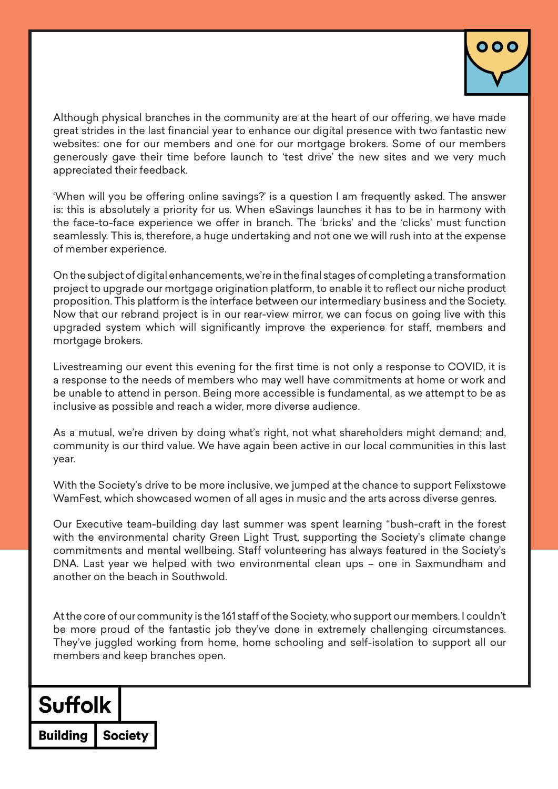

Although physical branches in the community are at the heart of our offering, we have made great strides in the last financial year to enhance our digital presence with two fantastic new websites: one for our members and one for our mortgage brokers. Some of our members generously gave their time before launch to 'test drive' the new sites and we very much appreciated their feedback.

'When will you be offering online savings?' is a question I am frequently asked. The answer is: this is absolutely a priority for us. When eSavings launches it has to be in harmony with the face-to-face experience we offer in branch. The 'bricks' and the 'clicks' must function seamlessly. This is, therefore, a huge undertaking and not one we will rush into at the expense of member experience.

On the subject of digital enhancements, we're in the final stages of completing a transformation project to upgrade our mortgage origination platform, to enable it to reflect our niche product proposition. This platform is the interface between our intermediary business and the Society. Now that our rebrand project is in our rear-view mirror, we can focus on going live with this upgraded system which will significantly improve the experience for staff, members and mortgage brokers.

Livestreaming our event this evening for the first time is not only a response to COVID, it is a response to the needs of members who may well have commitments at home or work and be unable to attend in person. Being more accessible is fundamental, as we attempt to be as inclusive as possible and reach a wider, more diverse audience.

As a mutual, we're driven by doing what's right, not what shareholders might demand; and, community is our third value. We have again been active in our local communities in this last year.

With the Society's drive to be more inclusive, we jumped at the chance to support Felixstowe WamFest, which showcased women of all ages in music and the arts across diverse genres.

Our Executive team-building day last summer was spent learning "bush-craft in the forest with the environmental charity Green Light Trust, supporting the Society's climate change commitments and mental wellbeing. Staff volunteering has always featured in the Society's DNA. Last year we helped with two environmental clean ups – one in Saxmundham and another on the beach in Southwold.

At the core of our community is the 161 staff of the Society, who support our members. I couldn't be more proud of the fantastic job they've done in extremely challenging circumstances. They've juggled working from home, home schooling and self-isolation to support all our members and keep branches open.

## **Suffolk**

**Society Buildina**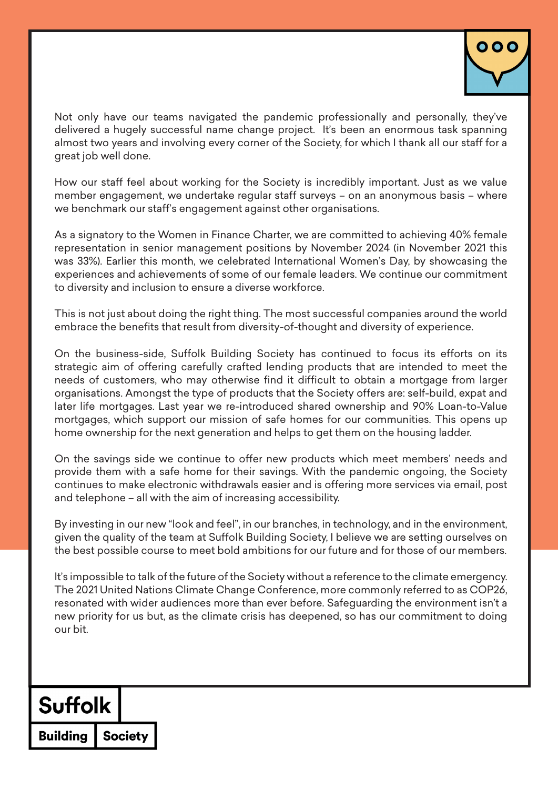

Not only have our teams navigated the pandemic professionally and personally, they've delivered a hugely successful name change project. It's been an enormous task spanning almost two years and involving every corner of the Society, for which I thank all our staff for a great job well done.

How our staff feel about working for the Society is incredibly important. Just as we value member engagement, we undertake regular staff surveys – on an anonymous basis – where we benchmark our staff's engagement against other organisations.

As a signatory to the Women in Finance Charter, we are committed to achieving 40% female representation in senior management positions by November 2024 (in November 2021 this was 33%). Earlier this month, we celebrated International Women's Day, by showcasing the experiences and achievements of some of our female leaders. We continue our commitment to diversity and inclusion to ensure a diverse workforce.

This is not just about doing the right thing. The most successful companies around the world embrace the benefits that result from diversity-of-thought and diversity of experience.

On the business-side, Suffolk Building Society has continued to focus its efforts on its strategic aim of offering carefully crafted lending products that are intended to meet the needs of customers, who may otherwise find it difficult to obtain a mortgage from larger organisations. Amongst the type of products that the Society offers are: self-build, expat and later life mortgages. Last year we re-introduced shared ownership and 90% Loan-to-Value mortgages, which support our mission of safe homes for our communities. This opens up home ownership for the next generation and helps to get them on the housing ladder.

On the savings side we continue to offer new products which meet members' needs and provide them with a safe home for their savings. With the pandemic ongoing, the Society continues to make electronic withdrawals easier and is offering more services via email, post and telephone – all with the aim of increasing accessibility.

By investing in our new "look and feel", in our branches, in technology, and in the environment, given the quality of the team at Suffolk Building Society, I believe we are setting ourselves on the best possible course to meet bold ambitions for our future and for those of our members.

It's impossible to talk of the future of the Society without a reference to the climate emergency. The 2021 United Nations Climate Change Conference, more commonly referred to as COP26, resonated with wider audiences more than ever before. Safeguarding the environment isn't a new priority for us but, as the climate crisis has deepened, so has our commitment to doing our bit.

## **Suffolk**

**Society Building**